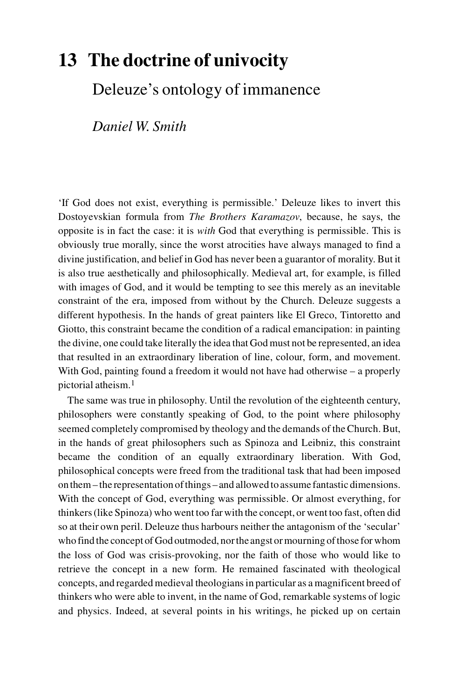## **13 The doctrine of univocity**

Deleuze's ontology of immanence

*Daniel W. Smith*

'If God does not exist, everything is permissible.' Deleuze likes to invert this Dostoyevskian formula from *The Brothers Karamazov*, because, he says, the opposite is in fact the case: it is *with* God that everything is permissible. This is obviously true morally, since the worst atrocities have always managed to find a divine justification, and belief in God has never been a guarantor of morality. But it is also true aesthetically and philosophically. Medieval art, for example, is filled with images of God, and it would be tempting to see this merely as an inevitable constraint of the era, imposed from without by the Church. Deleuze suggests a different hypothesis. In the hands of great painters like El Greco, Tintoretto and Giotto, this constraint became the condition of a radical emancipation: in painting the divine, one could take literally the idea that God must not be represented, an idea that resulted in an extraordinary liberation of line, colour, form, and movement. With God, painting found a freedom it would not have had otherwise – a properly pictorial atheism.1

The same was true in philosophy. Until the revolution of the eighteenth century, philosophers were constantly speaking of God, to the point where philosophy seemed completely compromised by theology and the demands of the Church. But, in the hands of great philosophers such as Spinoza and Leibniz, this constraint became the condition of an equally extraordinary liberation. With God, philosophical concepts were freed from the traditional taskthat had been imposed on them – the representation of things – and allowed to assume fantastic dimensions. With the concept of God, everything was permissible. Or almost everything, for thinkers (like Spinoza) who went too far with the concept, or went too fast, often did so at their own peril. Deleuze thus harbours neither the antagonism of the 'secular' who find the concept of God outmoded, nor theangst or mourning of those for whom the loss of God was crisis-provoking, nor the faith of those who would like to retrieve the concept in a new form. He remained fascinated with theological concepts, and regarded medieval theologians in particular as a magnificent breed of thinkers who were able to invent, in the name of God, remarkable systems of logic and physics. Indeed, at several points in his writings, he picked up on certain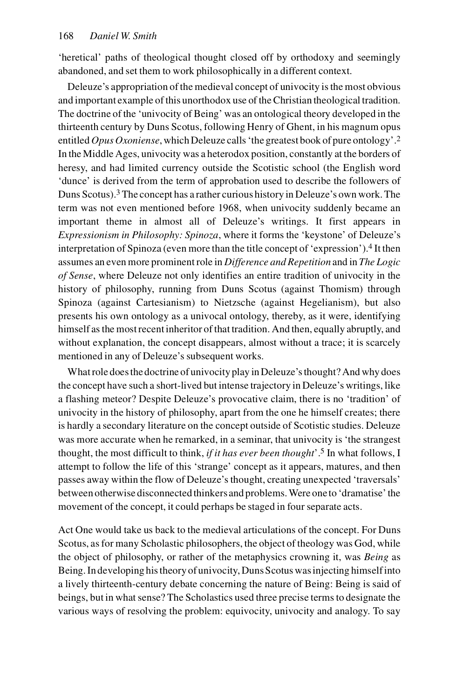'heretical' paths of theological thought closed off by orthodoxy and seemingly abandoned, and set them to work philosophically in a different context.

Deleuze's appropriation of the medieval concept of univocity is the most obvious and important example of this unorthodox use of the Christian theological tradition. The doctrine of the 'univocity of Being' was an ontological theory developed in the thirteenth century by Duns Scotus, following Henry of Ghent, in his magnum opus entitled *Opus Oxoniense*, which Deleuze calls 'the greatest bookof pure ontology'.2 In the Middle Ages, univocity was a heterodox position, constantly at the borders of heresy, and had limited currency outside the Scotistic school (the English word 'dunce' is derived from the term of approbation used to describe the followers of Duns Scotus).3 The concept has a rather curious history in Deleuze's own work. The term was not even mentioned before 1968, when univocity suddenly became an important theme in almost all of Deleuze's writings. It first appears in *Expressionism in Philosophy: Spinoza*, where it forms the 'keystone' of Deleuze's interpretation of Spinoza (even more than the title concept of 'expression').4 It then assumes an even more prominent role in *Difference and Repetition* and in *The Logic of Sense*, where Deleuze not only identifies an entire tradition of univocity in the history of philosophy, running from Duns Scotus (against Thomism) through Spinoza (against Cartesianism) to Nietzsche (against Hegelianism), but also presents his own ontology as a univocal ontology, thereby, as it were, identifying himself as the most recent inheritor of that tradition. And then, equally abruptly, and without explanation, the concept disappears, almost without a trace; it is scarcely mentioned in any of Deleuze's subsequent works.

What role doesthedoctrine of univocity play in Deleuze's thought? And why does the concept have such a short-lived but intense trajectory in Deleuze's writings, like a flashing meteor? Despite Deleuze's provocative claim, there is no 'tradition' of univocity in the history of philosophy, apart from the one he himself creates; there is hardly a secondary literature on the concept outside of Scotistic studies. Deleuze was more accurate when he remarked, in a seminar, that univocity is 'the strangest thought, the most difficult to think, *if it has ever been thought*'.5 In what follows, I attempt to follow the life of this 'strange' concept as it appears, matures, and then passes away within the flow of Deleuze's thought, creating unexpected 'traversals' between otherwise disconnected thinkersand problems. Were oneto 'dramatise' the movement of the concept, it could perhaps be staged in four separate acts.

Act One would take us back to the medieval articulations of the concept. For Duns Scotus, as for many Scholastic philosophers, the object of theology was God, while the object of philosophy, or rather of the metaphysics crowning it, was *Being* as Being. In developing his theory of univocity, Duns Scotus was injecting himself into a lively thirteenth-century debate concerning the nature of Being: Being is said of beings, but in what sense? The Scholastics used three precise terms to designate the various ways of resolving the problem: equivocity, univocity and analogy. To say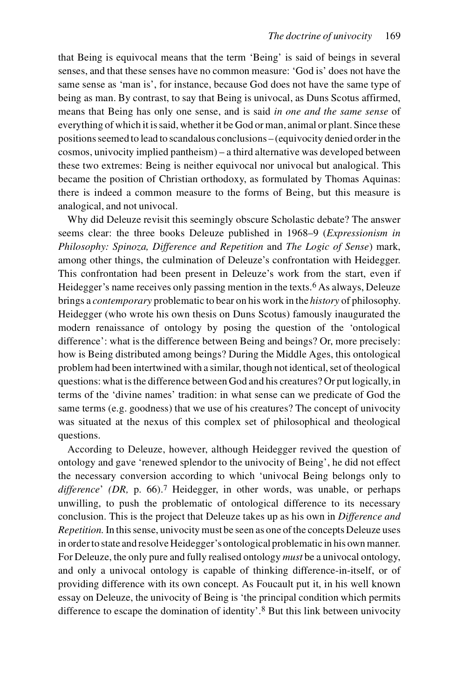that Being is equivocal means that the term 'Being' is said of beings in several senses, and that these senses have no common measure: 'God is' does not have the same sense as 'man is', for instance, because God does not have the same type of being as man. By contrast, to say that Being is univocal, as Duns Scotus affirmed, means that Being has only one sense, and is said *in one and the same sense* of everything of which it is said, whether it be God or man, animal or plant. Since these positions seemed to lead to scandalous conclusions – (equivocity denied order in the cosmos, univocity implied pantheism) – a third alternative was developed between these two extremes: Being is neither equivocal nor univocal but analogical. This became the position of Christian orthodoxy, as formulated by Thomas Aquinas: there is indeed a common measure to the forms of Being, but this measure is analogical, and not univocal.

Why did Deleuze revisit this seemingly obscure Scholastic debate? The answer seems clear: the three books Deleuze published in 1968–9 (*Expressionism in Philosophy: Spinoza, Difference and Repetition* and *The Logic of Sense*) mark , among other things, the culmination of Deleuze's confrontation with Heidegger. This confrontation had been present in Deleuze's work from the start, even if Heidegger's name receives only passing mention in the texts.<sup>6</sup> As always, Deleuze brings a *contemporary* problematic to bear on his workin the *history* of philosophy. Heidegger (who wrote his own thesis on Duns Scotus) famously inaugurated the modern renaissance of ontology by posing the question of the 'ontological difference': what is the difference between Being and beings? Or, more precisely: how is Being distributed among beings? During the Middle Ages, this ontological problem had been intertwined with a similar, though not identical, set of theological questions: what is the difference between God and his creatures? Or put logically, in terms of the 'divine names' tradition: in what sense can we predicate of God the same terms (e.g. goodness) that we use of his creatures? The concept of univocity was situated at the nexus of this complex set of philosophical and theological questions.

According to Deleuze, however, although Heidegger revived the question of ontology and gave 'renewed splendor to the univocity of Being', he did not effect the necessary conversion according to which 'univocal Being belongs only to *difference*' *(DR,* p. 66).7 Heidegger, in other words, was unable, or perhaps unwilling, to push the problematic of ontological difference to its necessary conclusion. This is the project that Deleuze takes up as his own in *Difference and Repetition.*In this sense, univocity must be seen as one of the concepts Deleuze uses in order to state and resolve Heidegger'sontological problematic in his own manner. For Deleuze, the only pure and fully realised ontology *must* be a univocal ontology, and only a univocal ontology is capable of thinking difference-in-itself, or of providing difference with its own concept. As Foucault put it, in his well known essay on Deleuze, the univocity of Being is 'the principal condition which permits difference to escape the domination of identity'.<sup>8</sup> But this link between univocity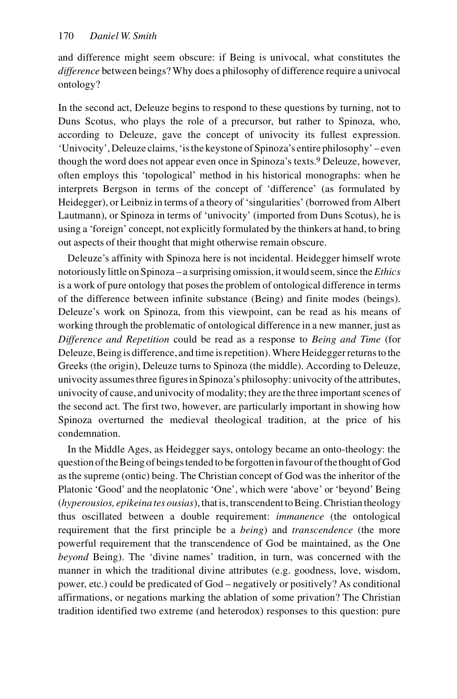and difference might seem obscure: if Being is univocal, what constitutes the *difference* between beings? Why does a philosophy of difference require a univocal ontology?

In the second act, Deleuze begins to respond to these questions by turning, not to Duns Scotus, who plays the role of a precursor, but rather to Spinoza, who, according to Deleuze, gave the concept of univocity its fullest expression. 'Univocity', Deleuze claims, 'isthe keystone of Spinoza'sentire philosophy' – even though the word does not appear even once in Spinoza's texts.9 Deleuze, however, often employs this 'topological' method in his historical monographs: when he interprets Bergson in terms of the concept of 'difference' (as formulated by Heidegger), or Leibniz in terms of a theory of 'singularities' (borrowed from Albert Lautmann), or Spinoza in terms of 'univocity' (imported from Duns Scotus), he is using a 'foreign' concept, not explicitly formulated by the thinkers at hand, to bring out aspects of their thought that might otherwise remain obscure.

Deleuze's affinity with Spinoza here is not incidental. Heidegger himself wrote notoriously little on Spinoza – a surprising omission, it would seem, since the *Ethics* is a work of pure ontology that poses the problem of ontological difference in terms of the difference between infinite substance (Being) and finite modes (beings). Deleuze's work on Spinoza, from this viewpoint, can be read as his means of working through the problematic of ontological difference in a new manner, just as *Difference and Repetition* could be read as a response to *Being and Time* (for Deleuze, Being is difference, and time is repetition). Where Heidegger returns to the Greeks (the origin), Deleuze turns to Spinoza (the middle). According to Deleuze, univocity assumes three figures in Spinoza's philosophy: univocity of the attributes, univocity of cause, and univocity of modality; they are the three important scenes of the second act. The first two, however, are particularly important in showing how Spinoza overturned the medieval theological tradition, at the price of his condemnation.

In the Middle Ages, as Heidegger says, ontology became an onto-theology: the question of theBeing of beingstended to be forgotten in favour of thethought of God as the supreme (ontic) being. The Christian concept of God was the inheritor of the Platonic 'Good' and the neoplatonic 'One', which were 'above' or 'beyond' Being (*hyperousios, epikeina tes ousias*), that is, transcendent to Being. Christian theology thus oscillated between a double requirement: *immanence* (the ontological requirement that the first principle be a *being*) and *transcendence* (the more powerful requirement that the transcendence of God be maintained, as the One *beyond* Being). The 'divine names' tradition, in turn, was concerned with the manner in which the traditional divine attributes (e.g. goodness, love, wisdom, power, etc.) could be predicated of God – negatively or positively? As conditional affirmations, or negations marking the ablation of some privation? The Christian tradition identified two extreme (and heterodox) responses to this question: pure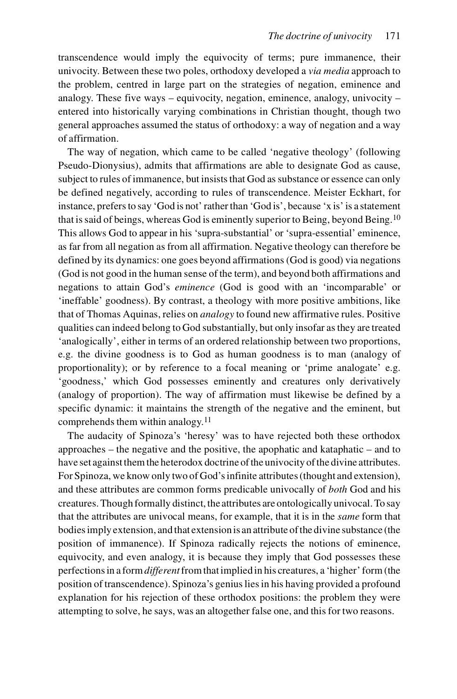transcendence would imply the equivocity of terms; pure immanence, their univocity. Between these two poles, orthodoxy developed a *via media* approach to the problem, centred in large part on the strategies of negation, eminence and analogy. These five ways – equivocity, negation, eminence, analogy, univocity – entered into historically varying combinations in Christian thought, though two general approaches assumed the status of orthodoxy: a way of negation and a way of affirmation.

The way of negation, which came to be called 'negative theology' (following Pseudo-Dionysius), admits that affirmations are able to designate God as cause, subject to rules of immanence, but insists that God as substance or essence can only be defined negatively, according to rules of transcendence. Meister Eckhart, for instance, prefers to say 'God is not' rather than 'God is', because 'x is' is a statement that is said of beings, whereas God is eminently superior to Being, beyond Being.10 This allows God to appear in his 'supra-substantial' or 'supra-essential' eminence, as far from all negation as from all affirmation. Negative theology can therefore be defined by its dynamics: one goes beyond affirmations (God is good) via negations (God is not good in the human sense of the term), and beyond both affirmations and negations to attain God's *eminence* (God is good with an 'incomparable' or 'ineffable' goodness). By contrast, a theology with more positive ambitions, like that of Thomas Aquinas, relies on *analogy* to found new affirmative rules. Positive qualities can indeed belong to God substantially, but only insofar as they are treated 'analogically', either in terms of an ordered relationship between two proportions, e.g. the divine goodness is to God as human goodness is to man (analogy of proportionality); or by reference to a focal meaning or 'prime analogate' e.g. 'goodness,' which God possesses eminently and creatures only derivatively (analogy of proportion). The way of affirmation must likewise be defined by a specific dynamic: it maintains the strength of the negative and the eminent, but comprehends them within analogy.11

The audacity of Spinoza's 'heresy' was to have rejected both these orthodox approaches – the negative and the positive, the apophatic and kataphatic – and to have set against them the heterodox doctrine of the univocity of the divine attributes. For Spinoza, we know only two of God's infinite attributes (thought and extension), and these attributes are common forms predicable univocally of *both* God and his creatures. Though formally distinct, theattributes are ontologically univocal. To say that the attributes are univocal means, for example, that it is in the *same* form that bodies imply extension, and that extension isan attribute of the divine substance (the position of immanence). If Spinoza radically rejects the notions of eminence, equivocity, and even analogy, it is because they imply that God possesses these perfections in a form*different*from that implied in his creatures, a 'higher' form (the position of transcendence). Spinoza's genius lies in his having provided a profound explanation for his rejection of these orthodox positions: the problem they were attempting to solve, he says, was an altogether false one, and this for two reasons.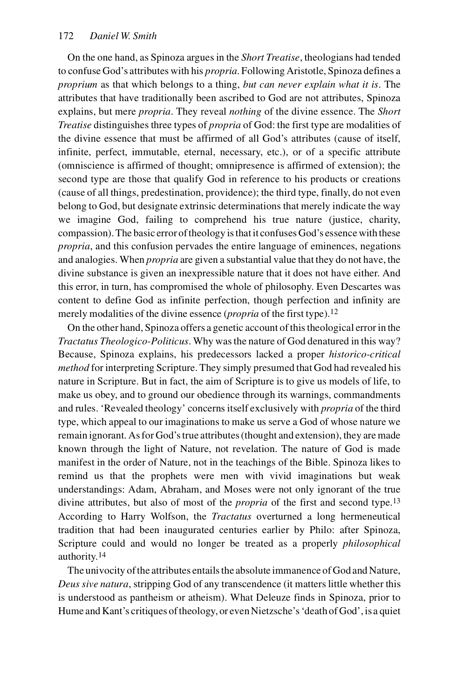On the one hand, as Spinoza argues in the *Short Treatise*, theologians had tended to confuse God's attributes with his *propria*. Following Aristotle, Spinoza defines a *proprium* as that which belongs to a thing, *but can never explain what it is*. The attributes that have traditionally been ascribed to God are not attributes, Spinoza explains, but mere *propria*. They reveal *nothing* of the divine essence. The *Short Treatise* distinguishes three types of *propria* of God: the first type are modalities of the divine essence that must be affirmed of all God's attributes (cause of itself, infinite, perfect, immutable, eternal, necessary, etc.), or of a specific attribute (omniscience is affirmed of thought; omnipresence is affirmed of extension); the second type are those that qualify God in reference to his products or creations (cause of all things, predestination, providence); the third type, finally, do not even belong to God, but designate extrinsic determinations that merely indicate the way we imagine God, failing to comprehend his true nature (justice, charity, compassion). The basic error of theology is that it confuses God's essence with these *propria*, and this confusion pervades the entire language of eminences, negations and analogies. When *propria* are given a substantial value that they do not have, the divine substance is given an inexpressible nature that it does not have either. And this error, in turn, has compromised the whole of philosophy. Even Descartes was content to define God as infinite perfection, though perfection and infinity are merely modalities of the divine essence (*propria* of the first type).12

On the other hand, Spinoza offers a genetic account of this theological error in the *Tractatus Theologico-Politicus*. Why was the nature of God denatured in this way? Because, Spinoza explains, his predecessors lacked a proper *historico-critical method* for interpreting Scripture. They simply presumed that God had revealed his nature in Scripture. But in fact, the aim of Scripture is to give us models of life, to make us obey, and to ground our obedience through its warnings, commandments and rules. 'Revealed theology' concerns itself exclusively with *propria* of the third type, which appeal to our imaginations to make us serve a God of whose nature we remain ignorant. As for God's true attributes (thought and extension), they are made known through the light of Nature, not revelation. The nature of God is made manifest in the order of Nature, not in the teachings of the Bible. Spinoza likes to remind us that the prophets were men with vivid imaginations but weak understandings: Adam, Abraham, and Moses were not only ignorant of the true divine attributes, but also of most of the *propria* of the first and second type.13 According to Harry Wolfson, the *Tractatus* overturned a long hermeneutical tradition that had been inaugurated centuries earlier by Philo: after Spinoza, Scripture could and would no longer be treated as a properly *philosophical* authority.14

The univocity of the attributes entails the absolute immanence of God and Nature, *Deus sive natura*, stripping God of any transcendence (it matters little whether this is understood as pantheism or atheism). What Deleuze finds in Spinoza, prior to Hume and Kant's critiques of theology, or even Nietzsche's 'death of God', isa quiet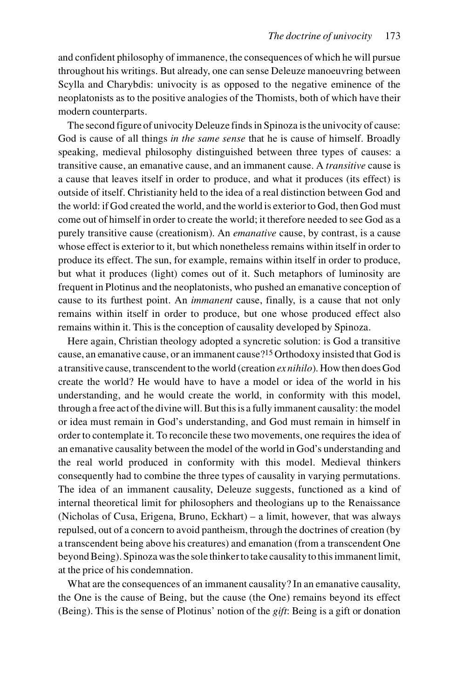and confident philosophy of immanence, the consequences of which he will pursue throughout his writings. But already, one can sense Deleuze manoeuvring between Scylla and Charybdis: univocity is as opposed to the negative eminence of the neoplatonists as to the positive analogies of the Thomists, both of which have their modern counterparts.

The second figure of univocity Deleuze finds in Spinoza is the univocity of cause: God is cause of all things *in the same sense* that he is cause of himself. Broadly speaking, medieval philosophy distinguished between three types of causes: a transitive cause, an emanative cause, and an immanent cause. A *transitive* cause is a cause that leaves itself in order to produce, and what it produces (its effect) is outside of itself. Christianity held to the idea of a real distinction between God and the world: if God created the world, and the world is exterior to God, then God must come out of himself in order to create the world; it therefore needed to see God as a purely transitive cause (creationism). An *emanative* cause, by contrast, is a cause whose effect is exterior to it, but which nonetheless remains within itself in order to produce its effect. The sun, for example, remains within itself in order to produce, but what it produces (light) comes out of it. Such metaphors of luminosity are frequent in Plotinus and the neoplatonists, who pushed an emanative conception of cause to its furthest point. An *immanent* cause, finally, is a cause that not only remains within itself in order to produce, but one whose produced effect also remains within it. This is the conception of causality developed by Spinoza.

Here again, Christian theology adopted a syncretic solution: is God a transitive cause, an emanative cause, or an immanent cause?15 Orthodoxy insisted that God is a transitive cause, transcendent to the world (creation *ex nihilo*). How then does God create the world? He would have to have a model or idea of the world in his understanding, and he would create the world, in conformity with this model, through a free act of the divine will. But this is a fully immanent causality: the model or idea must remain in God's understanding, and God must remain in himself in order to contemplate it. To reconcile these two movements, one requires the idea of an emanative causality between the model of the world in God's understanding and the real world produced in conformity with this model. Medieval thinkers consequently had to combine the three types of causality in varying permutations. The idea of an immanent causality, Deleuze suggests, functioned as a kind of internal theoretical limit for philosophers and theologians up to the Renaissance (Nicholas of Cusa, Erigena, Bruno, Eckhart) – a limit, however, that was always repulsed, out of a concern to avoid pantheism, through the doctrines of creation (by a transcendent being above his creatures) and emanation (from a transcendent One beyond Being). Spinoza was the sole thinker to take causality to this immanent limit, at the price of his condemnation.

What are the consequences of an immanent causality? In an emanative causality, the One is the cause of Being, but the cause (the One) remains beyond its effect (Being). This is the sense of Plotinus' notion of the *gift*: Being is a gift or donation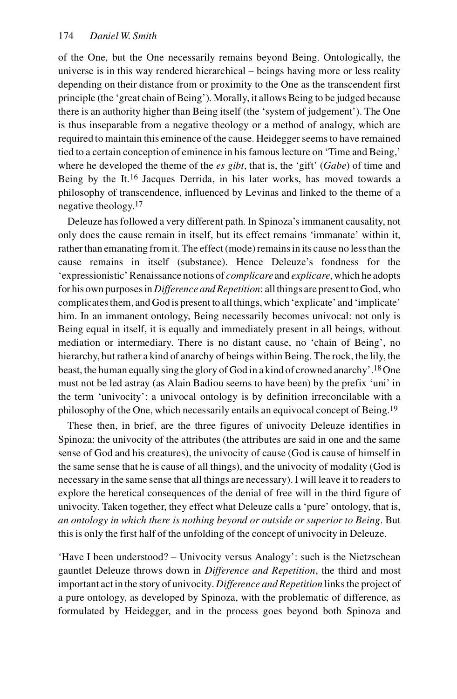of the One, but the One necessarily remains beyond Being. Ontologically, the universe is in this way rendered hierarchical – beings having more or less reality depending on their distance from or proximity to the One as the transcendent first principle (the 'great chain of Being'). Morally, it allows Being to be judged because there is an authority higher than Being itself (the 'system of judgement'). The One is thus inseparable from a negative theology or a method of analogy, which are required to maintain this eminence of the cause. Heidegger seems to have remained tied to a certain conception of eminence in his famous lecture on 'Time and Being,' where he developed the theme of the *es gibt*, that is, the 'gift' (*Gabe*) of time and Being by the It.16 Jacques Derrida, in his later works, has moved towards a philosophy of transcendence, influenced by Levinas and linked to the theme of a negative theology.17

Deleuze has followed a very different path. In Spinoza's immanent causality, not only does the cause remain in itself, but its effect remains 'immanate' within it, rather than emanating from it. The effect (mode) remains in its cause no less than the cause remains in itself (substance). Hence Deleuze's fondness for the 'expressionistic' Renaissance notions of *complicare* and *explicare*, which he adopts for his own purposes in *Difference and Repetition*: all thingsare present to God, who complicates them, and God is present to all things, which 'explicate' and 'implicate' him. In an immanent ontology, Being necessarily becomes univocal: not only is Being equal in itself, it is equally and immediately present in all beings, without mediation or intermediary. There is no distant cause, no 'chain of Being', no hierarchy, but rather a kind of anarchy of beings within Being. The rock, the lily, the beast, the human equally sing the glory of God in a kind of crowned anarchy'.18One must not be led astray (as Alain Badiou seems to have been) by the prefix 'uni' in the term 'univocity': a univocal ontology is by definition irreconcilable with a philosophy of the One, which necessarily entails an equivocal concept of Being.19

These then, in brief, are the three figures of univocity Deleuze identifies in Spinoza: the univocity of the attributes (the attributes are said in one and the same sense of God and his creatures), the univocity of cause (God is cause of himself in the same sense that he is cause of all things), and the univocity of modality (God is necessary in the same sense that all things are necessary). I will leave it to readers to explore the heretical consequences of the denial of free will in the third figure of univocity. Taken together, they effect what Deleuze calls a 'pure' ontology, that is, *an ontology in which there is nothing beyond or outside or superior to Being*. But this is only the first half of the unfolding of the concept of univocity in Deleuze.

'Have I been understood? – Univocity versus Analogy': such is the Nietzschean gauntlet Deleuze throws down in *Difference and Repetition*, the third and most important act in the story of univocity. *Difference and Repetition* links the project of a pure ontology, as developed by Spinoza, with the problematic of difference, as formulated by Heidegger, and in the process goes beyond both Spinoza and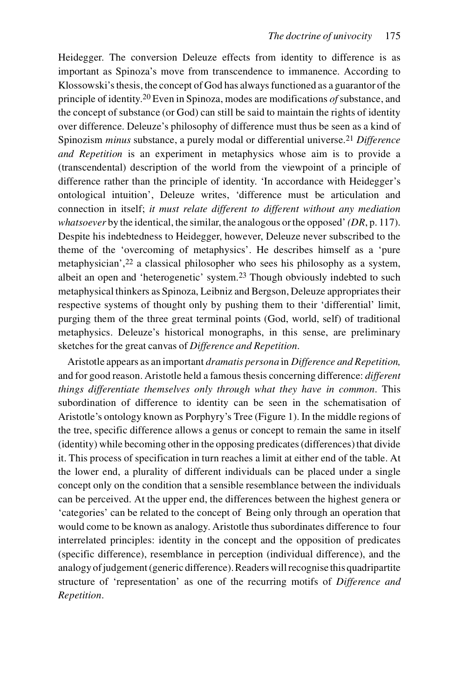Heidegger. The conversion Deleuze effects from identity to difference is as important as Spinoza's move from transcendence to immanence. According to Klossowski's thesis, the concept of God has always functioned as a guarantor of the principle of identity.20 Even in Spinoza, modes are modifications *of*substance, and the concept of substance (or God) can still be said to maintain the rights of identity over difference. Deleuze's philosophy of difference must thus be seen as a kind of Spinozism *minus* substance, a purely modal or differential universe.21 *Difference and Repetition* is an experiment in metaphysics whose aim is to provide a (transcendental) description of the world from the viewpoint of a principle of difference rather than the principle of identity. 'In accordance with Heidegger's ontological intuition', Deleuze writes, 'difference must be articulation and connection in itself; *it must relate different to different without any mediation whatsoever* by the identical, the similar, the analogous or the opposed' *(DR*, p. 117). Despite his indebtedness to Heidegger, however, Deleuze never subscribed to the theme of the 'overcoming of metaphysics'. He describes himself as a 'pure metaphysician',22 a classical philosopher who sees his philosophy as a system, albeit an open and 'heterogenetic' system.23 Though obviously indebted to such metaphysical thinkers as Spinoza, Leibniz and Bergson, Deleuze appropriates their respective systems of thought only by pushing them to their 'differential' limit, purging them of the three great terminal points (God, world, self) of traditional metaphysics. Deleuze's historical monographs, in this sense, are preliminary sketches for the great canvas of *Difference and Repetition*.

Aristotle appears as an important *dramatis persona* in *Difference and Repetition,* and for good reason. Aristotle held a famous thesis concerning difference: *different things differentiate themselves only through what they have in common*. This subordination of difference to identity can be seen in the schematisation of Aristotle's ontology known as Porphyry's Tree (Figure 1). In the middle regions of the tree, specific difference allows a genus or concept to remain the same in itself (identity) while becoming other in the opposing predicates (differences) that divide it. This process of specification in turn reaches a limit at either end of the table. At the lower end, a plurality of different individuals can be placed under a single concept only on the condition that a sensible resemblance between the individuals can be perceived. At the upper end, the differences between the highest genera or 'categories' can be related to the concept of Being only through an operation that would come to be known as analogy. Aristotle thus subordinates difference to four interrelated principles: identity in the concept and the opposition of predicates (specific difference), resemblance in perception (individual difference), and the analogy of judgement (generic difference).Readers will recognise thisquadripartite structure of 'representation' as one of the recurring motifs of *Difference and Repetition*.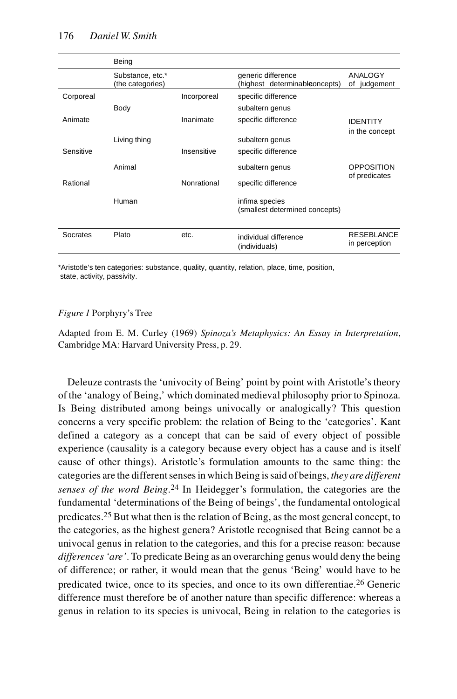|           | Being                                |             |                                                     |                                    |
|-----------|--------------------------------------|-------------|-----------------------------------------------------|------------------------------------|
|           | Substance, etc.*<br>(the categories) |             | generic difference<br>(highest determinableoncepts) | ANALOGY<br>of judgement            |
| Corporeal |                                      | Incorporeal | specific difference                                 |                                    |
|           | Body                                 |             | subaltern genus                                     |                                    |
| Animate   |                                      | Inanimate   | specific difference                                 | <b>IDENTITY</b><br>in the concept  |
|           | Living thing                         |             | subaltern genus                                     |                                    |
| Sensitive |                                      | Insensitive | specific difference                                 |                                    |
|           | Animal                               |             | subaltern genus                                     | <b>OPPOSITION</b><br>of predicates |
| Rational  |                                      | Nonrational | specific difference                                 |                                    |
|           | Human                                |             | infima species<br>(smallest determined concepts)    |                                    |
| Socrates  | Plato                                | etc.        |                                                     | <b>RESEBLANCE</b>                  |
|           |                                      |             | individual difference<br>(individuals)              | in perception                      |

\*Aristotle's ten categories: substance, quality, quantity, relation, place, time, position, state, activity, passivity.

## *Figure 1* Porphyry's Tree

Adapted from E. M. Curley (1969) *Spinoza's Metaphysics: An Essay in Interpretation*, Cambridge MA: Harvard University Press, p. 29.

Deleuze contrasts the 'univocity of Being' point by point with Aristotle's theory of the 'analogy of Being,' which dominated medieval philosophy prior to Spinoza. Is Being distributed among beings univocally or analogically? This question concerns a very specific problem: the relation of Being to the 'categories'. Kant defined a category as a concept that can be said of every object of possible experience (causality is a category because every object has a cause and is itself cause of other things). Aristotle's formulation amounts to the same thing: the categories are the different senses in which Being is said of beings, *they are different senses of the word Being*. <sup>24</sup> In Heidegger's formulation, the categories are the fundamental 'determinations of the Being of beings', the fundamental ontological predicates.25 But what then is the relation of Being, as the most general concept, to the categories, as the highest genera? Aristotle recognised that Being cannot be a univocal genus in relation to the categories, and this for a precise reason: because *differences 'are'*. To predicate Being as an overarching genus would deny the being of difference; or rather, it would mean that the genus 'Being' would have to be predicated twice, once to its species, and once to its own differentiae.26 Generic difference must therefore be of another nature than specific difference: whereas a genus in relation to its species is univocal, Being in relation to the categories is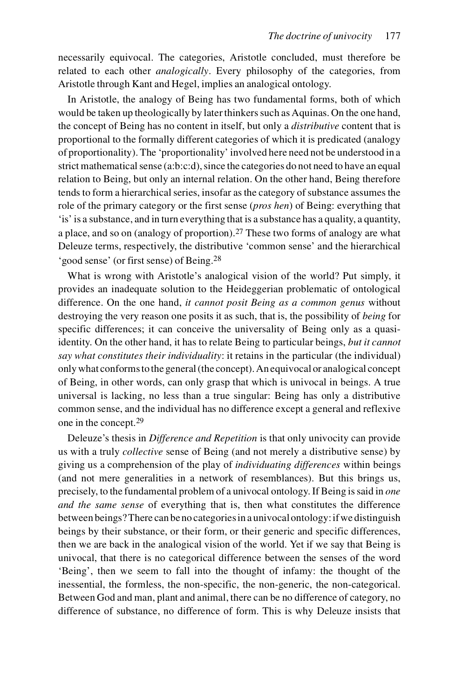necessarily equivocal. The categories, Aristotle concluded, must therefore be related to each other *analogically*. Every philosophy of the categories, from Aristotle through Kant and Hegel, implies an analogical ontology.

In Aristotle, the analogy of Being has two fundamental forms, both of which would be taken up theologically by later thinkers such as Aquinas. On the one hand, the concept of Being has no content in itself, but only a *distributive* content that is proportional to the formally different categories of which it is predicated (analogy of proportionality). The 'proportionality' involved here need not be understood in a strict mathematical sense (a:b:c:d), since the categories do not need to have an equal relation to Being, but only an internal relation. On the other hand, Being therefore tends to form a hierarchical series, insofar as the category of substance assumes the role of the primary category or the first sense (*pros hen*) of Being: everything that 'is' is a substance, and in turn everything that is a substance has a quality, a quantity, a place, and so on (analogy of proportion).27 These two forms of analogy are what Deleuze terms, respectively, the distributive 'common sense' and the hierarchical 'good sense' (or first sense) of Being.28

What is wrong with Aristotle's analogical vision of the world? Put simply, it provides an inadequate solution to the Heideggerian problematic of ontological difference. On the one hand, *it cannot posit Being as a common genus* without destroying the very reason one posits it as such, that is, the possibility of *being* for specific differences; it can conceive the universality of Being only as a quasiidentity. On the other hand, it has to relate Being to particular beings, *but it cannot say what constitutes their individuality*: it retains in the particular (the individual) only what conformsto the general (the concept). An equivocal or analogical concept of Being, in other words, can only grasp that which is univocal in beings. A true universal is lacking, no less than a true singular: Being has only a distributive common sense, and the individual has no difference except a general and reflexive one in the concept.29

Deleuze's thesis in *Difference and Repetition* is that only univocity can provide us with a truly *collective* sense of Being (and not merely a distributive sense) by giving us a comprehension of the play of *individuating differences* within beings (and not mere generalities in a network of resemblances). But this brings us, precisely, to the fundamental problem of a univocal ontology. If Being is said in *one and the same sense* of everything that is, then what constitutes the difference between beings?There can beno categoriesin a univocalontology:if we distinguish beings by their substance, or their form, or their generic and specific differences, then we are back in the analogical vision of the world. Yet if we say that Being is univocal, that there is no categorical difference between the senses of the word 'Being', then we seem to fall into the thought of infamy: the thought of the inessential, the formless, the non-specific, the non-generic, the non-categorical. Between God and man, plant and animal, there can be no difference of category, no difference of substance, no difference of form. This is why Deleuze insists that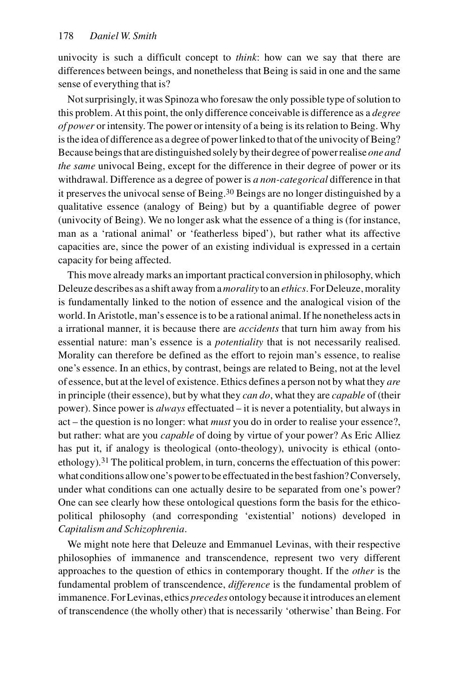univocity is such a difficult concept to *think*: how can we say that there are differences between beings, and nonetheless that Being is said in one and the same sense of everything that is?

Not surprisingly, it was Spinoza who foresaw the only possible type of solution to this problem. At this point, the only difference conceivable is difference as a *degree of power* or intensity. The power or intensity of a being is its relation to Being. Why is the idea of difference as a degree of power linked to that of the univocity of Being? Because beings that are distinguished solely by their degree of power realise *oneand the same* univocal Being, except for the difference in their degree of power or its withdrawal. Difference as a degree of power is *a non-categorical* difference in that it preserves the univocal sense of Being.<sup>30</sup> Beings are no longer distinguished by a qualitative essence (analogy of Being) but by a quantifiable degree of power (univocity of Being). We no longer askwhat the essence of a thing is (for instance, man as a 'rational animal' or 'featherless biped'), but rather what its affective capacities are, since the power of an existing individual is expressed in a certain capacity for being affected.

This move already marks an important practical conversion in philosophy, which Deleuze describesas a shift away from a*morality* to an *ethics*. For Deleuze, morality is fundamentally linked to the notion of essence and the analogical vision of the world. In Aristotle, man's essence is to be a rational animal. If he nonetheless acts in a irrational manner, it is because there are *accidents* that turn him away from his essential nature: man's essence is a *potentiality* that is not necessarily realised. Morality can therefore be defined as the effort to rejoin man's essence, to realise one's essence. In an ethics, by contrast, beings are related to Being, not at the level of essence, but at the level of existence. Ethics defines a person not by what they *are* in principle (their essence), but by what they *can do*, what they are *capable* of (their power). Since power is *always* effectuated – it is never a potentiality, but always in act – the question is no longer: what *must* you do in order to realise your essence?, but rather: what are you *capable* of doing by virtue of your power? As Eric Alliez has put it, if analogy is theological (onto-theology), univocity is ethical (ontoethology).<sup>31</sup> The political problem, in turn, concerns the effectuation of this power: what conditionsallow one's power to be effectuated in the best fashion? Conversely, under what conditions can one actually desire to be separated from one's power? One can see clearly how these ontological questions form the basis for the ethicopolitical philosophy (and corresponding 'existential' notions) developed in *Capitalism and Schizophrenia*.

We might note here that Deleuze and Emmanuel Levinas, with their respective philosophies of immanence and transcendence, represent two very different approaches to the question of ethics in contemporary thought. If the *other* is the fundamental problem of transcendence, *difference* is the fundamental problem of immanence. For Levinas, ethics *precedes* ontology because it introduces an element of transcendence (the wholly other) that is necessarily 'otherwise' than Being. For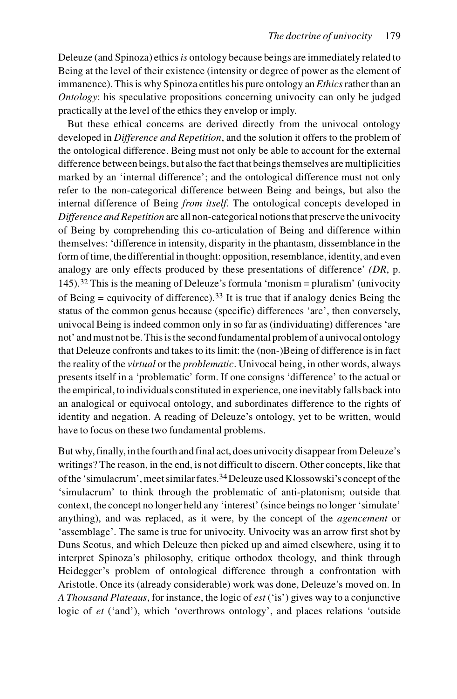Deleuze (and Spinoza) ethics*is* ontology because beings are immediately related to Being at the level of their existence (intensity or degree of power as the element of immanence). This is why Spinoza entitles his pure ontology an *Ethics*rather than an *Ontology*: his speculative propositions concerning univocity can only be judged practically at the level of the ethics they envelop or imply.

But these ethical concerns are derived directly from the univocal ontology developed in *Difference and Repetition*, and the solution it offers to the problem of the ontological difference. Being must not only be able to account for the external difference between beings, but also the fact that beings themselves are multiplicities marked by an 'internal difference'; and the ontological difference must not only refer to the non-categorical difference between Being and beings, but also the internal difference of Being *from itself*. The ontological concepts developed in *Difference and Repetition* are all non-categorical notions that preserve the univocity of Being by comprehending this co-articulation of Being and difference within themselves: 'difference in intensity, disparity in the phantasm, dissemblance in the form of time, the differential in thought: opposition, resemblance, identity, and even analogy are only effects produced by these presentations of difference' *(DR*, p. 145).32 This is the meaning of Deleuze's formula 'monism = pluralism' (univocity of Being  $=$  equivocity of difference).<sup>33</sup> It is true that if analogy denies Being the status of the common genus because (specific) differences 'are', then conversely, univocal Being is indeed common only in so far as (individuating) differences 'are not' and must not be. This is the second fundamental problem of a univocal ontology that Deleuze confronts and takes to its limit: the (non-)Being of difference is in fact the reality of the *virtual* or the *problematic*. Univocal being, in other words, always presents itself in a 'problematic' form. If one consigns 'difference' to the actual or the empirical, to individuals constituted in experience, one inevitably falls backinto an analogical or equivocal ontology, and subordinates difference to the rights of identity and negation. A reading of Deleuze's ontology, yet to be written, would have to focus on these two fundamental problems.

But why, finally, in the fourth and final act, does univocity disappear from Deleuze's writings? The reason, in the end, is not difficult to discern. Other concepts, like that of the 'simulacrum', meet similar fates.34Deleuze used Klossowski's concept of the 'simulacrum' to think through the problematic of anti-platonism; outside that context, the concept no longer held any 'interest' (since beings no longer 'simulate' anything), and was replaced, as it were, by the concept of the *agencement* or 'assemblage'. The same is true for univocity. Univocity was an arrow first shot by Duns Scotus, and which Deleuze then picked up and aimed elsewhere, using it to interpret Spinoza's philosophy, critique orthodox theology, and think through Heidegger's problem of ontological difference through a confrontation with Aristotle. Once its (already considerable) workwas done, Deleuze's moved on. In *A Thousand Plateaus*, for instance, the logic of *est* ('is') gives way to a conjunctive logic of *et* ('and'), which 'overthrows ontology', and places relations 'outside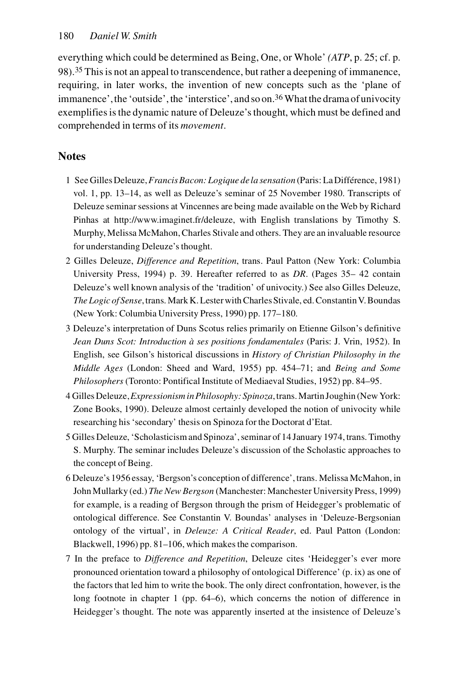everything which could be determined as Being, One, or Whole' *(ATP*, p. 25; cf. p. 98).35 This is not an appeal to transcendence, but rather a deepening of immanence, requiring, in later works, the invention of new concepts such as the 'plane of immanence',the 'outside', the 'interstice', and so on.36 What the drama of univocity exemplifies is the dynamic nature of Deleuze's thought, which must be defined and comprehended in terms of its *movement*.

## **Notes**

- 1 See GillesDeleuze,*FrancisBacon: Logique dela sensation* (Paris: LaDifférence, 1981) vol. 1, pp. 13–14, as well as Deleuze's seminar of 25 November 1980. Transcripts of Deleuze seminar sessions at Vincennes are being made available on the Web by Richard Pinhas at http://www.imaginet.fr/deleuze, with English translations by Timothy S. Murphy, Melissa McMahon, Charles Stivale and others. They are an invaluable resource for understanding Deleuze's thought.
- 2 Gilles Deleuze, *Difference and Repetition*, trans. Paul Patton (New York: Columbia University Press, 1994) p. 39. Hereafter referred to as *DR*. (Pages 35– 42 contain Deleuze's well known analysis of the 'tradition' of univocity.) See also Gilles Deleuze, *The Logic of Sense*, trans. MarkK. Lester with CharlesStivale, ed. ConstantinV. Boundas (New York: Columbia University Press, 1990) pp. 177–180.
- 3 Deleuze's interpretation of Duns Scotus relies primarily on Etienne Gilson's definitive *Jean Duns Scot: Introduction à ses positions fondamentales* (Paris: J. Vrin, 1952). In English, see Gilson's historical discussions in *History of Christian Philosophy in the Middle Ages* (London: Sheed and Ward, 1955) pp. 454–71; and *Being and Some Philosophers* (Toronto: Pontifical Institute of Mediaeval Studies, 1952) pp. 84–95.
- 4 Gilles Deleuze,*Expressionism inPhilosophy: Spinoza*, trans. MartinJoughin (New York: Zone Books, 1990). Deleuze almost certainly developed the notion of univocity while researching his 'secondary' thesis on Spinoza for the Doctorat d'Etat.
- 5 Gilles Deleuze, 'Scholasticism and Spinoza', seminar of 14 January 1974, trans. Timothy S. Murphy. The seminar includes Deleuze's discussion of the Scholastic approaches to the concept of Being.
- 6 Deleuze's 1956 essay, 'Bergson's conception of difference', trans. Melissa McMahon, in John Mullarky (ed.) *The New Bergson* (Manchester: Manchester University Press, 1999) for example, is a reading of Bergson through the prism of Heidegger's problematic of ontological difference. See Constantin V. Boundas' analyses in 'Deleuze-Bergsonian ontology of the virtual', in *Deleuze: A Critical Reader*, ed. Paul Patton (London: Blackwell, 1996) pp. 81–106, which makes the comparison.
- 7 In the preface to *Difference and Repetition*, Deleuze cites 'Heidegger's ever more pronounced orientation toward a philosophy of ontological Difference' (p. ix) as one of the factors that led him to write the book. The only direct confrontation, however, is the long footnote in chapter 1 (pp. 64–6), which concerns the notion of difference in Heidegger's thought. The note was apparently inserted at the insistence of Deleuze's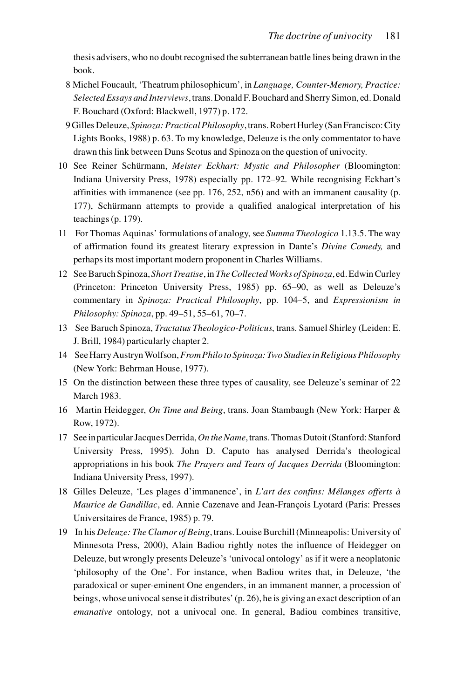thesis advisers, who no doubt recognised the subterranean battle lines being drawn in the book.

- 8 Michel Foucault, 'Theatrum philosophicum', in *Language, Counter-Memory, Practice: Selected Essays and Interviews*, trans. Donald F. Bouchard and Sherry Simon, ed. Donald F. Bouchard (Oxford: Blackwell, 1977) p. 172.
- 9 Gilles Deleuze, *Spinoza: Practical Philosophy*, trans. Robert Hurley (SanFrancisco: City Lights Books, 1988) p. 63. To my knowledge, Deleuze is the only commentator to have drawn this link between Duns Scotus and Spinoza on the question of univocity.
- 10 See Reiner Schürmann, *Meister Eckhart: Mystic and Philosopher* (Bloomington: Indiana University Press, 1978) especially pp. 172–92. While recognising Eckhart's affinities with immanence (see pp. 176, 252, n56) and with an immanent causality (p. 177), Schürmann attempts to provide a qualified analogical interpretation of his teachings (p. 179).
- 11 For Thomas Aquinas' formulations of analogy, see *Summa Theologica* 1.13.5. The way of affirmation found its greatest literary expression in Dante's *Divine Comedy,* and perhaps its most important modern proponent in Charles Williams.
- 12 See Baruch Spinoza, *Short Treatise*, in *TheCollected Worksof Spinoza*, ed. Edwin Curley (Princeton: Princeton University Press, 1985) pp. 65–90, as well as Deleuze's commentary in *Spinoza: Practical Philosophy*, pp. 104–5, and *Expressionism in Philosophy: Spinoza*, pp. 49–51, 55–61, 70–7.
- 13 See Baruch Spinoza, *Tractatus Theologico-Politicus*, trans. Samuel Shirley (Leiden: E. J. Brill, 1984) particularly chapter 2.
- 14 SeeHarryAustryn Wolfson,*FromPhilotoSpinoza: Two StudiesinReligiousPhilosophy* (New York: Behrman House, 1977).
- 15 On the distinction between these three types of causality, see Deleuze's seminar of 22 March 1983.
- 16 Martin Heidegger, *On Time and Being*, trans. Joan Stambaugh (New York: Harper & Row, 1972).
- 17 See in particular Jacques Derrida, *On the Name*, trans. Thomas Dutoit (Stanford: Stanford University Press, 1995). John D. Caputo has analysed Derrida's theological appropriations in his book *The Prayers and Tears of Jacques Derrida* (Bloomington: Indiana University Press, 1997).
- 18 Gilles Deleuze, 'Les plages d'immanence', in *L'art des confins: Mélanges offerts à Maurice de Gandillac*, ed. Annie Cazenave and Jean-François Lyotard (Paris: Presses Universitaires de France, 1985) p. 79.
- 19 In his *Deleuze: The Clamor of Being*, trans. Louise Burchill (Minneapolis: University of Minnesota Press, 2000), Alain Badiou rightly notes the influence of Heidegger on Deleuze, but wrongly presents Deleuze's 'univocal ontology' as if it were a neoplatonic 'philosophy of the One'. For instance, when Badiou writes that, in Deleuze, 'the paradoxical or super-eminent One engenders, in an immanent manner, a procession of beings, whose univocal sense it distributes' (p. 26), he is giving an exact description of an *emanative* ontology, not a univocal one. In general, Badiou combines transitive,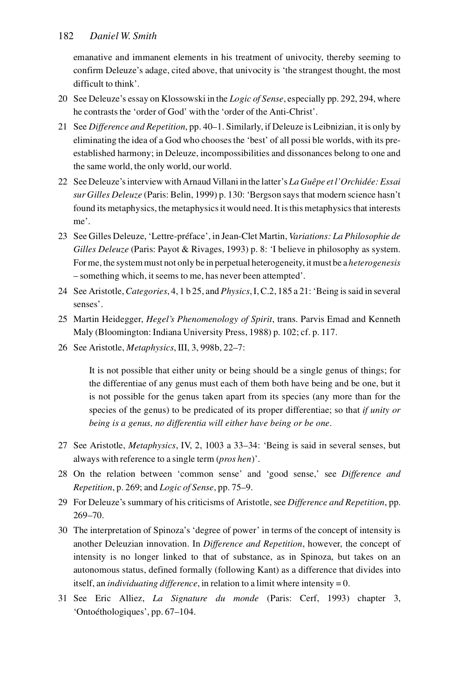## 182 *Daniel W. Smith*

emanative and immanent elements in his treatment of univocity, thereby seeming to confirm Deleuze's adage, cited above, that univocity is 'the strangest thought, the most difficult to think'.

- 20 See Deleuze's essay on Klossowski in the *Logic of Sense*, especially pp. 292, 294, where he contrasts the 'order of God' with the 'order of the Anti-Christ'.
- 21 See *Difference and Repetition*, pp. 40–1. Similarly, if Deleuze is Leibnizian, it is only by eliminating the idea of a God who chooses the 'best' of all possi ble worlds, with its preestablished harmony; in Deleuze, incompossibilities and dissonances belong to one and the same world, the only world, our world.
- 22 See Deleuze's interview with Arnaud Villani in the latter's *La Guêpe et l'Orchidée: Essai sur Gilles Deleuze* (Paris: Belin, 1999) p. 130: 'Bergson says that modern science hasn't found its metaphysics, the metaphysics it would need. It is this metaphysics that interests me'.
- 23 See Gilles Deleuze, 'Lettre-préface', in Jean-Clet Martin, *Variations: La Philosophie de Gilles Deleuze* (Paris: Payot & Rivages, 1993) p. 8: 'I believe in philosophy as system. For me, the system must not only be in perpetual heterogeneity, it must be a *heterogenesis* – something which, it seems to me, has never been attempted'.
- 24 See Aristotle,*Categories*, 4, 1 b 25, and *Physics*, I, C.2, 185 a 21: 'Being is said in several senses'.
- 25 Martin Heidegger, *Hegel's Phenomenology of Spirit*, trans. Parvis Emad and Kenneth Maly (Bloomington: Indiana University Press, 1988) p. 102; cf. p. 117.
- 26 See Aristotle, *Metaphysics*, III, 3, 998b, 22–7:

It is not possible that either unity or being should be a single genus of things; for the differentiae of any genus must each of them both have being and be one, but it is not possible for the genus taken apart from its species (any more than for the species of the genus) to be predicated of its proper differentiae; so that *if unity or being is a genus, no differentia will either have being or be one*.

- 27 See Aristotle, *Metaphysics*, IV, 2, 1003 a 33–34: 'Being is said in several senses, but always with reference to a single term (*pros hen*)'.
- 28 On the relation between 'common sense' and 'good sense,' see *Difference and Repetition*, p. 269; and *Logic of Sense*, pp. 75–9.
- 29 For Deleuze's summary of his criticisms of Aristotle, see *Difference and Repetition*, pp. 269–70.
- 30 The interpretation of Spinoza's 'degree of power' in terms of the concept of intensity is another Deleuzian innovation. In *Difference and Repetition*, however, the concept of intensity is no longer linked to that of substance, as in Spinoza, but takes on an autonomous status, defined formally (following Kant) as a difference that divides into itself, an *individuating difference*, in relation to a limit where intensity = 0.
- 31 See Eric Alliez, *La Signature du monde* (Paris: Cerf, 1993) chapter 3, 'Ontoéthologiques', pp. 67–104.